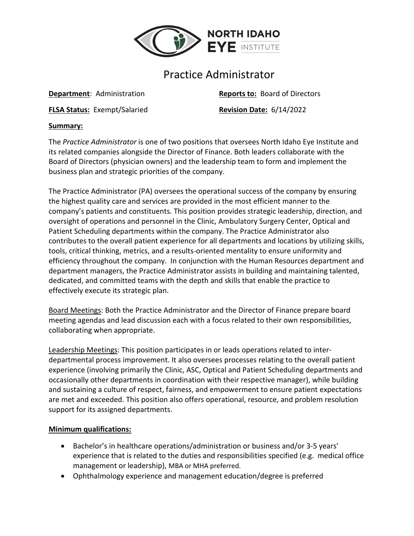

# Practice Administrator

**FLSA Status:** Exempt/Salaried **Revision Date:** 6/14/2022

**Department**: Administration **Reports to:** Board of Directors

#### **Summary:**

The *Practice Administrator* is one of two positions that oversees North Idaho Eye Institute and its related companies alongside the Director of Finance. Both leaders collaborate with the Board of Directors (physician owners) and the leadership team to form and implement the business plan and strategic priorities of the company.

The Practice Administrator (PA) oversees the operational success of the company by ensuring the highest quality care and services are provided in the most efficient manner to the company's patients and constituents. This position provides strategic leadership, direction, and oversight of operations and personnel in the Clinic, Ambulatory Surgery Center, Optical and Patient Scheduling departments within the company. The Practice Administrator also contributes to the overall patient experience for all departments and locations by utilizing skills, tools, critical thinking, metrics, and a results-oriented mentality to ensure uniformity and efficiency throughout the company. In conjunction with the Human Resources department and department managers, the Practice Administrator assists in building and maintaining talented, dedicated, and committed teams with the depth and skills that enable the practice to effectively execute its strategic plan.

Board Meetings: Both the Practice Administrator and the Director of Finance prepare board meeting agendas and lead discussion each with a focus related to their own responsibilities, collaborating when appropriate.

Leadership Meetings: This position participates in or leads operations related to interdepartmental process improvement. It also oversees processes relating to the overall patient experience (involving primarily the Clinic, ASC, Optical and Patient Scheduling departments and occasionally other departments in coordination with their respective manager), while building and sustaining a culture of respect, fairness, and empowerment to ensure patient expectations are met and exceeded. This position also offers operational, resource, and problem resolution support for its assigned departments.

## **Minimum qualifications:**

- Bachelor's in healthcare operations/administration or business and/or 3-5 years' experience that is related to the duties and responsibilities specified (e.g. medical office management or leadership), MBA or MHA preferred.
- Ophthalmology experience and management education/degree is preferred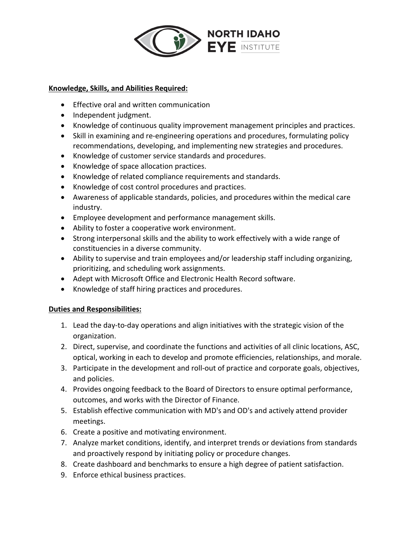

#### **Knowledge, Skills, and Abilities Required:**

- Effective oral and written communication
- Independent judgment.
- Knowledge of continuous quality improvement management principles and practices.
- Skill in examining and re-engineering operations and procedures, formulating policy recommendations, developing, and implementing new strategies and procedures.
- Knowledge of customer service standards and procedures.
- Knowledge of space allocation practices.
- Knowledge of related compliance requirements and standards.
- Knowledge of cost control procedures and practices.
- Awareness of applicable standards, policies, and procedures within the medical care industry.
- Employee development and performance management skills.
- Ability to foster a cooperative work environment.
- Strong interpersonal skills and the ability to work effectively with a wide range of constituencies in a diverse community.
- Ability to supervise and train employees and/or leadership staff including organizing, prioritizing, and scheduling work assignments.
- Adept with Microsoft Office and Electronic Health Record software.
- Knowledge of staff hiring practices and procedures.

## **Duties and Responsibilities:**

- 1. Lead the day-to-day operations and align initiatives with the strategic vision of the organization.
- 2. Direct, supervise, and coordinate the functions and activities of all clinic locations, ASC, optical, working in each to develop and promote efficiencies, relationships, and morale.
- 3. Participate in the development and roll-out of practice and corporate goals, objectives, and policies.
- 4. Provides ongoing feedback to the Board of Directors to ensure optimal performance, outcomes, and works with the Director of Finance.
- 5. Establish effective communication with MD's and OD's and actively attend provider meetings.
- 6. Create a positive and motivating environment.
- 7. Analyze market conditions, identify, and interpret trends or deviations from standards and proactively respond by initiating policy or procedure changes.
- 8. Create dashboard and benchmarks to ensure a high degree of patient satisfaction.
- 9. Enforce ethical business practices.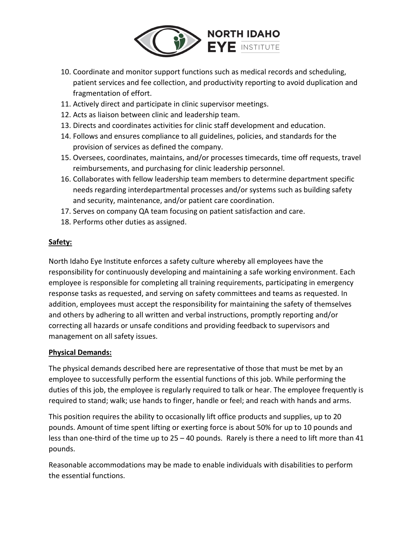

- 10. Coordinate and monitor support functions such as medical records and scheduling, patient services and fee collection, and productivity reporting to avoid duplication and fragmentation of effort.
- 11. Actively direct and participate in clinic supervisor meetings.
- 12. Acts as liaison between clinic and leadership team.
- 13. Directs and coordinates activities for clinic staff development and education.
- 14. Follows and ensures compliance to all guidelines, policies, and standards for the provision of services as defined the company.
- 15. Oversees, coordinates, maintains, and/or processes timecards, time off requests, travel reimbursements, and purchasing for clinic leadership personnel.
- 16. Collaborates with fellow leadership team members to determine department specific needs regarding interdepartmental processes and/or systems such as building safety and security, maintenance, and/or patient care coordination.
- 17. Serves on company QA team focusing on patient satisfaction and care.
- 18. Performs other duties as assigned.

## **Safety:**

North Idaho Eye Institute enforces a safety culture whereby all employees have the responsibility for continuously developing and maintaining a safe working environment. Each employee is responsible for completing all training requirements, participating in emergency response tasks as requested, and serving on safety committees and teams as requested. In addition, employees must accept the responsibility for maintaining the safety of themselves and others by adhering to all written and verbal instructions, promptly reporting and/or correcting all hazards or unsafe conditions and providing feedback to supervisors and management on all safety issues.

## **Physical Demands:**

The physical demands described here are representative of those that must be met by an employee to successfully perform the essential functions of this job. While performing the duties of this job, the employee is regularly required to talk or hear. The employee frequently is required to stand; walk; use hands to finger, handle or feel; and reach with hands and arms.

This position requires the ability to occasionally lift office products and supplies, up to 20 pounds. Amount of time spent lifting or exerting force is about 50% for up to 10 pounds and less than one-third of the time up to 25 – 40 pounds. Rarely is there a need to lift more than 41 pounds.

Reasonable accommodations may be made to enable individuals with disabilities to perform the essential functions.